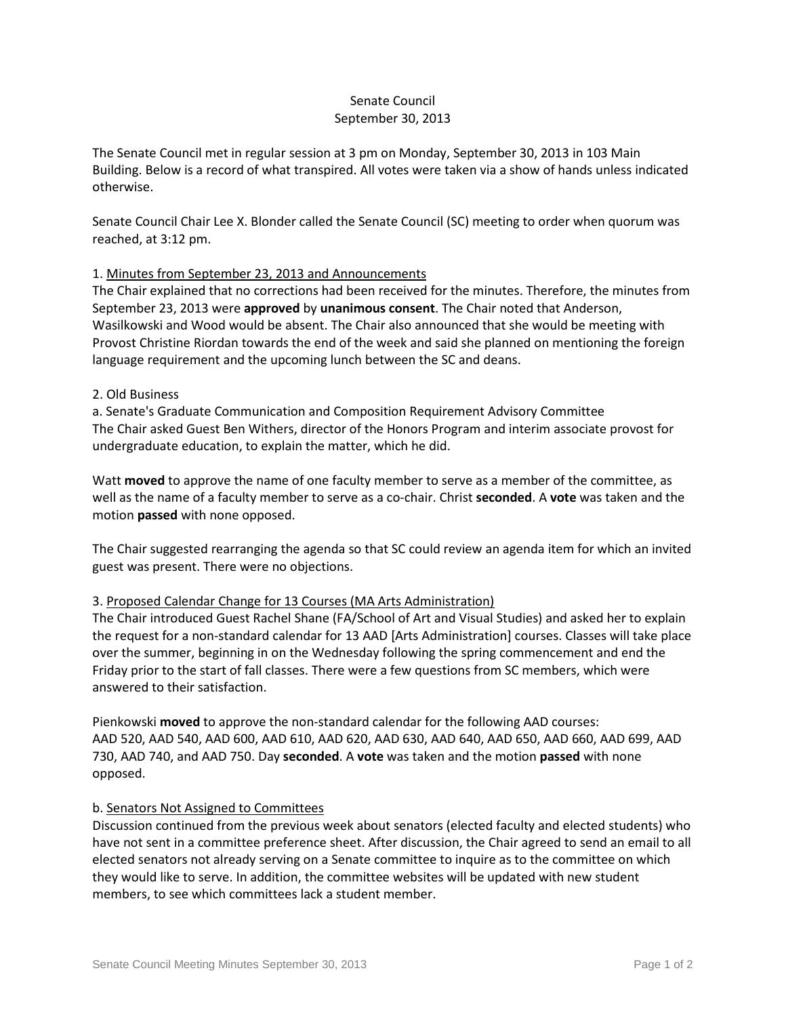# Senate Council September 30, 2013

The Senate Council met in regular session at 3 pm on Monday, September 30, 2013 in 103 Main Building. Below is a record of what transpired. All votes were taken via a show of hands unless indicated otherwise.

Senate Council Chair Lee X. Blonder called the Senate Council (SC) meeting to order when quorum was reached, at 3:12 pm.

## 1. Minutes from September 23, 2013 and Announcements

The Chair explained that no corrections had been received for the minutes. Therefore, the minutes from September 23, 2013 were **approved** by **unanimous consent**. The Chair noted that Anderson, Wasilkowski and Wood would be absent. The Chair also announced that she would be meeting with Provost Christine Riordan towards the end of the week and said she planned on mentioning the foreign language requirement and the upcoming lunch between the SC and deans.

#### 2. Old Business

a. Senate's Graduate Communication and Composition Requirement Advisory Committee The Chair asked Guest Ben Withers, director of the Honors Program and interim associate provost for undergraduate education, to explain the matter, which he did.

Watt **moved** to approve the name of one faculty member to serve as a member of the committee, as well as the name of a faculty member to serve as a co-chair. Christ **seconded**. A **vote** was taken and the motion **passed** with none opposed.

The Chair suggested rearranging the agenda so that SC could review an agenda item for which an invited guest was present. There were no objections.

## 3. Proposed Calendar Change for 13 Courses (MA Arts Administration)

The Chair introduced Guest Rachel Shane (FA/School of Art and Visual Studies) and asked her to explain the request for a non-standard calendar for 13 AAD [Arts Administration] courses. Classes will take place over the summer, beginning in on the Wednesday following the spring commencement and end the Friday prior to the start of fall classes. There were a few questions from SC members, which were answered to their satisfaction.

Pienkowski **moved** to approve the non-standard calendar for the following AAD courses: AAD 520, AAD 540, AAD 600, AAD 610, AAD 620, AAD 630, AAD 640, AAD 650, AAD 660, AAD 699, AAD 730, AAD 740, and AAD 750. Day **seconded**. A **vote** was taken and the motion **passed** with none opposed.

#### b. Senators Not Assigned to Committees

Discussion continued from the previous week about senators (elected faculty and elected students) who have not sent in a committee preference sheet. After discussion, the Chair agreed to send an email to all elected senators not already serving on a Senate committee to inquire as to the committee on which they would like to serve. In addition, the committee websites will be updated with new student members, to see which committees lack a student member.